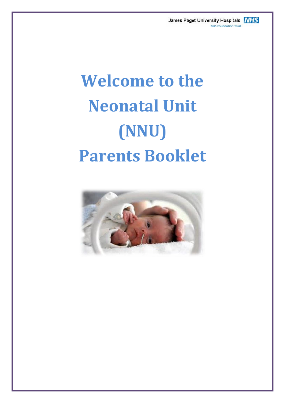James Paget University Hospitals **NHS** NHS Foundation Trust

# **Welcome to the Neonatal Unit (NNU) Parents Booklet**

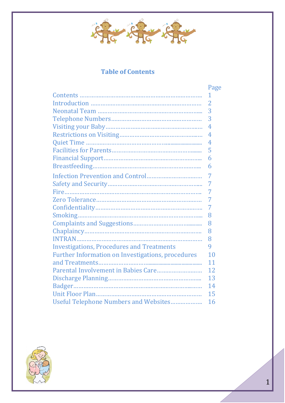

#### **Table of Contents**

|                                                   | Page           |
|---------------------------------------------------|----------------|
|                                                   | 1              |
|                                                   | $\overline{2}$ |
|                                                   | 3              |
|                                                   | 3              |
|                                                   | 4              |
|                                                   | 4              |
|                                                   | 4              |
|                                                   | 5              |
|                                                   | 6              |
|                                                   | 6              |
|                                                   | 7              |
|                                                   | 7              |
|                                                   | 7              |
|                                                   | 7              |
|                                                   | 7              |
|                                                   | 8              |
|                                                   | 8              |
|                                                   | 8              |
|                                                   | 8              |
| <b>Investigations, Procedures and Treatments</b>  | 9              |
| Further Information on Investigations, procedures | 10             |
|                                                   | 11             |
|                                                   | 12             |
|                                                   | 13             |
|                                                   | 14             |
|                                                   | 15             |
| Useful Telephone Numbers and Websites             | 16             |

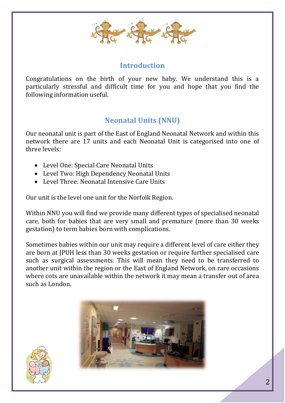

#### **Introduction**

Congratulations on the birth of your new baby. We understand this is a particularly stressful and difficult time for you and hope that you find the following information useful.

# **Neonatal Units (NNU)**

Our neonatal unit is part of the East of England Neonatal Network and within this network there are 17 units and each Neonatal Unit is categorised into one of three levels:

- Level One: Special Care Neonatal Units
- Level Two: High Dependency Neonatal Units
- Level Three: Neonatal Intensive Care Units

Our unit is the level one unit for the Norfolk Region.

Within NNU you will find we provide many different types of specialised neonatal care, both for babies that are very small and premature (more than 30 weeks gestation) to term babies born with complications.

Sometimes babies within our unit may require a different level of care either they are born at JPUH less than 30 weeks gestation or require further specialised care such as surgical assessments. This will mean they need to be transferred to another unit within the region or the East of England Network, on rare occasions where cots are unavailable within the network it may mean a transfer out of area such as London.



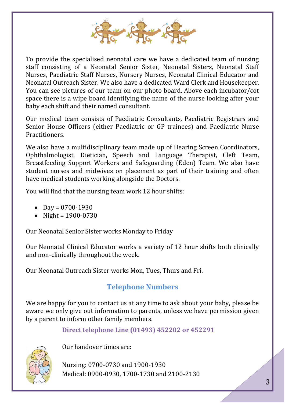

To provide the specialised neonatal care we have a dedicated team of nursing staff consisting of a Neonatal Senior Sister, Neonatal Sisters, Neonatal Staff Nurses, Paediatric Staff Nurses, Nursery Nurses, Neonatal Clinical Educator and Neonatal Outreach Sister. We also have a dedicated Ward Clerk and Housekeeper. You can see pictures of our team on our photo board. Above each incubator/cot space there is a wipe board identifying the name of the nurse looking after your baby each shift and their named consultant.

Our medical team consists of Paediatric Consultants, Paediatric Registrars and Senior House Officers (either Paediatric or GP trainees) and Paediatric Nurse **Practitioners** 

We also have a multidisciplinary team made up of Hearing Screen Coordinators, Ophthalmologist, Dietician, Speech and Language Therapist, Cleft Team, Breastfeeding Support Workers and Safeguarding (Eden) Team. We also have student nurses and midwives on placement as part of their training and often have medical students working alongside the Doctors.

You will find that the nursing team work 12 hour shifts:

- Day =  $0700 1930$
- Night =  $1900 0730$

Our Neonatal Senior Sister works Monday to Friday

Our Neonatal Clinical Educator works a variety of 12 hour shifts both clinically and non-clinically throughout the week.

Our Neonatal Outreach Sister works Mon, Tues, Thurs and Fri.

# **Telephone Numbers**

We are happy for you to contact us at any time to ask about your baby, please be aware we only give out information to parents, unless we have permission given by a parent to inform other family members.

**Direct telephone Line (01493) 452202 or 452291**



Our handover times are:

Nursing: 0700-0730 and 1900-1930 Medical: 0900-0930, 1700-1730 and 2100-2130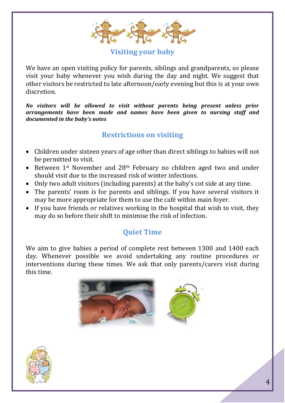

**Visiting your baby**

We have an open visiting policy for parents, siblings and grandparents, so please visit your baby whenever you wish during the day and night. We suggest that other visitors be restricted to late afternoon/early evening but this is at your own discretion.

*No visitors will be allowed to visit without parents being present unless prior arrangements have been made and names have been given to nursing staff and documented in the baby's notes*

# **Restrictions on visiting**

- Children under sixteen years of age other than direct siblings to babies will not be permitted to visit.
- Between 1<sup>st</sup> November and 28<sup>th</sup> February no children aged two and under should visit due to the increased risk of winter infections.
- Only two adult visitors (including parents) at the baby's cot side at any time.
- The parents' room is for parents and siblings. If you have several visitors it may be more appropriate for them to use the café within main foyer.
- If you have friends or relatives working in the hospital that wish to visit, they may do so before their shift to minimise the risk of infection.

# **Quiet Time**

We aim to give babies a period of complete rest between 1300 and 1400 each day. Whenever possible we avoid undertaking any routine procedures or interventions during these times. We ask that only parents/carers visit during this time.



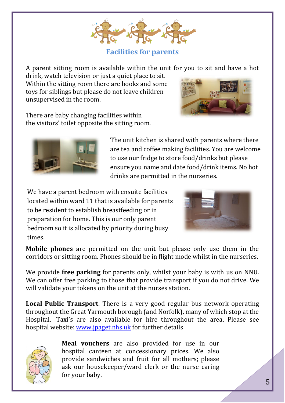**Facilities for parents**

A parent sitting room is available within the unit for you to sit and have a hot

drink, watch television or just a quiet place to sit. Within the sitting room there are books and some toys for siblings but please do not leave children unsupervised in the room.

There are baby changing facilities within the visitors' toilet opposite the sitting room.

> The unit kitchen is shared with parents where there are tea and coffee making facilities. You are welcome to use our fridge to store food/drinks but please ensure you name and date food/drink items. No hot drinks are permitted in the nurseries.

We have a parent bedroom with ensuite facilities located within ward 11 that is available for parents to be resident to establish breastfeeding or in preparation for home. This is our only parent bedroom so it is allocated by priority during busy times.

**Mobile phones** are permitted on the unit but please only use them in the corridors or sitting room. Phones should be in flight mode whilst in the nurseries.

We provide **free parking** for parents only, whilst your baby is with us on NNU. We can offer free parking to those that provide transport if you do not drive. We will validate your tokens on the unit at the nurses station.

**Local Public Transport**. There is a very good regular bus network operating throughout the Great Yarmouth borough (and Norfolk), many of which stop at the Hospital. Taxi's are also available for hire throughout the area. Please see hospital website: [www.jpaget.nhs.uk](http://www.jpaget.nhs.uk/) for further details







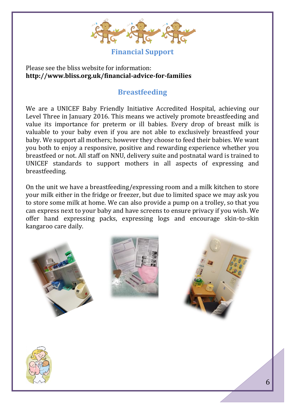

**Financial Support**

Please see the bliss website for information: **<http://www.bliss.org.uk/financial-advice-for-families>**

# **Breastfeeding**

We are a UNICEF Baby Friendly Initiative Accredited Hospital, achieving our Level Three in January 2016. This means we actively promote breastfeeding and value its importance for preterm or ill babies. Every drop of breast milk is valuable to your baby even if you are not able to exclusively breastfeed your baby. We support all mothers; however they choose to feed their babies. We want you both to enjoy a responsive, positive and rewarding experience whether you breastfeed or not. All staff on NNU, delivery suite and postnatal ward is trained to UNICEF standards to support mothers in all aspects of expressing and breastfeeding.

On the unit we have a breastfeeding/expressing room and a milk kitchen to store your milk either in the fridge or freezer, but due to limited space we may ask you to store some milk at home. We can also provide a pump on a trolley, so that you can express next to your baby and have screens to ensure privacy if you wish. We offer hand expressing packs, expressing logs and encourage skin-to-skin kangaroo care daily.







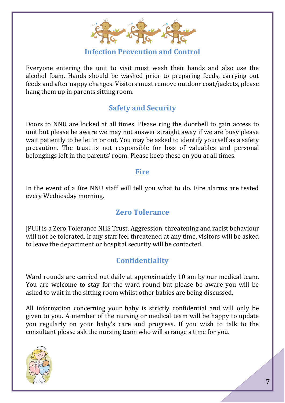

#### **Infection Prevention and Control**

Everyone entering the unit to visit must wash their hands and also use the alcohol foam. Hands should be washed prior to preparing feeds, carrying out feeds and after nappy changes. Visitors must remove outdoor coat/jackets, please hang them up in parents sitting room.

### **Safety and Security**

Doors to NNU are locked at all times. Please ring the doorbell to gain access to unit but please be aware we may not answer straight away if we are busy please wait patiently to be let in or out. You may be asked to identify yourself as a safety precaution. The trust is not responsible for loss of valuables and personal belongings left in the parents' room. Please keep these on you at all times.

#### **Fire**

In the event of a fire NNU staff will tell you what to do. Fire alarms are tested every Wednesday morning.

# **Zero Tolerance**

JPUH is a Zero Tolerance NHS Trust. Aggression, threatening and racist behaviour will not be tolerated. If any staff feel threatened at any time, visitors will be asked to leave the department or hospital security will be contacted.

# **Confidentiality**

Ward rounds are carried out daily at approximately 10 am by our medical team. You are welcome to stay for the ward round but please be aware you will be asked to wait in the sitting room whilst other babies are being discussed.

All information concerning your baby is strictly confidential and will only be given to you. A member of the nursing or medical team will be happy to update you regularly on your baby's care and progress. If you wish to talk to the consultant please ask the nursing team who will arrange a time for you.

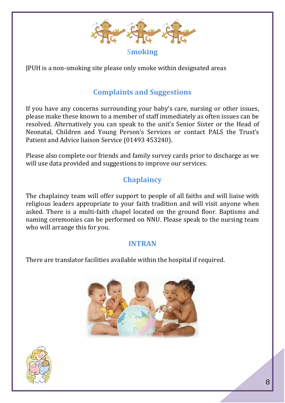

JPUH is a non-smoking site please only smoke within designated areas

# **Complaints and Suggestions**

If you have any concerns surrounding your baby's care, nursing or other issues, please make these known to a member of staff immediately as often issues can be resolved. Alternatively you can speak to the unit's Senior Sister or the Head of Neonatal, Children and Young Person's Services or contact PALS the Trust's Patient and Advice liaison Service (01493 453240).

Please also complete our friends and family survey cards prior to discharge as we will use data provided and suggestions to improve our services.

# **Chaplaincy**

The chaplaincy team will offer support to people of all faiths and will liaise with religious leaders appropriate to your faith tradition and will visit anyone when asked. There is a multi-faith chapel located on the ground floor. Baptisms and naming ceremonies can be performed on NNU. Please speak to the nursing team who will arrange this for you.

#### **INTRAN**

There are translator facilities available within the hospital if required.



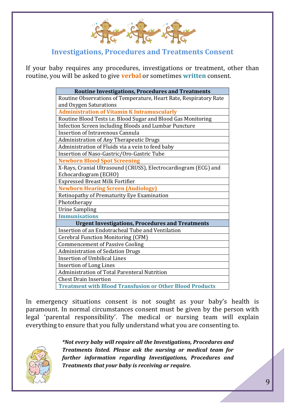

#### **Investigations, Procedures and Treatments Consent**

If your baby requires any procedures, investigations or treatment, other than routine, you will be asked to give **verbal** or sometimes **written** consent.

| <b>Routine Investigations, Procedures and Treatments</b>          |
|-------------------------------------------------------------------|
| Routine Observations of Temperature, Heart Rate, Respiratory Rate |
| and Oxygen Saturations                                            |
| <b>Administration of Vitamin K Intramuscularly</b>                |
| Routine Blood Tests i.e. Blood Sugar and Blood Gas Monitoring     |
| Infection Screen including Bloods and Lumbar Puncture             |
| <b>Insertion of Intravenous Cannula</b>                           |
| <b>Administration of Any Therapeutic Drugs</b>                    |
| Administration of Fluids via a vein to feed baby                  |
| Insertion of Naso-Gastric/Oro-Gastric Tube                        |
| <b>Newborn Blood Spot Screening</b>                               |
| X-Rays, Cranial Ultrasound (CRUSS), Electrocardiogram (ECG) and   |
| Echocardiogram (ECHO)                                             |
| <b>Expressed Breast Milk Fortifier</b>                            |
| <b>Newborn Hearing Screen (Audiology)</b>                         |
| Retinopathy of Prematurity Eye Examination                        |
| Phototherapy                                                      |
| <b>Urine Sampling</b>                                             |
| <b>Immunisations</b>                                              |
| <b>Urgent Investigations, Procedures and Treatments</b>           |
| Insertion of an Endotracheal Tube and Ventilation                 |
| <b>Cerebral Function Monitoring (CFM)</b>                         |
| <b>Commencement of Passive Cooling</b>                            |
| <b>Administration of Sedation Drugs</b>                           |
| <b>Insertion of Umbilical Lines</b>                               |
| <b>Insertion of Long Lines</b>                                    |
| Administration of Total Parenteral Nutrition                      |
| <b>Chest Drain Insertion</b>                                      |
| <b>Treatment with Blood Transfusion or Other Blood Products</b>   |

In emergency situations consent is not sought as your baby's health is paramount. In normal circumstances consent must be given by the person with legal 'parental responsibility'. The medical or nursing team will explain everything to ensure that you fully understand what you are consenting to.



*\*Not every baby will require all the Investigations, Procedures and Treatments listed. Please ask the nursing or medical team for further information regarding Investigations, Procedures and Treatments that your baby is receiving or require.*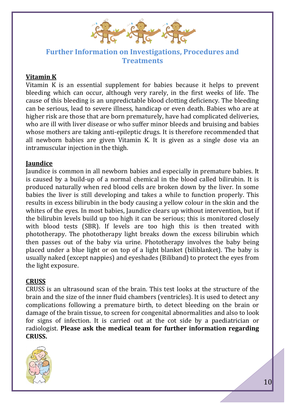

#### **Further Information on Investigations, Procedures and Treatments**

#### **Vitamin K**

Vitamin K is an essential supplement for babies because it helps to prevent bleeding which can occur, although very rarely, in the first weeks of life. The cause of this bleeding is an unpredictable blood clotting deficiency. The bleeding can be serious, lead to severe illness, handicap or even death. Babies who are at higher risk are those that are born prematurely, have had complicated deliveries, who are ill with liver disease or who suffer minor bleeds and bruising and babies whose mothers are taking anti-epileptic drugs. It is therefore recommended that all newborn babies are given Vitamin K. It is given as a single dose via an intramuscular injection in the thigh.

#### **Jaundice**

Jaundice is common in all newborn babies and especially in premature babies. It is caused by a build-up of a normal chemical in the blood called bilirubin. It is produced naturally when red blood cells are broken down by the liver. In some babies the liver is still developing and takes a while to function properly. This results in excess bilirubin in the body causing a yellow colour in the skin and the whites of the eyes. In most babies, Jaundice clears up without intervention, but if the bilirubin levels build up too high it can be serious; this is monitored closely with blood tests (SBR). If levels are too high this is then treated with phototherapy. The phototherapy light breaks down the excess bilirubin which then passes out of the baby via urine. Phototherapy involves the baby being placed under a blue light or on top of a light blanket (biliblanket). The baby is usually naked (except nappies) and eyeshades (Biliband) to protect the eyes from the light exposure.

#### **CRUSS**

CRUSS is an ultrasound scan of the brain. This test looks at the structure of the brain and the size of the inner fluid chambers (ventricles). It is used to detect any complications following a premature birth, to detect bleeding on the brain or damage of the brain tissue, to screen for congenital abnormalities and also to look for signs of infection. It is carried out at the cot side by a paediatrician or radiologist. **Please ask the medical team for further information regarding CRUSS.**

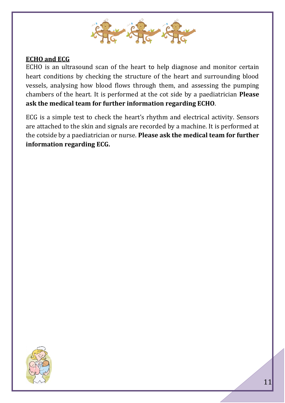

#### **ECHO and ECG**

ECHO is an ultrasound scan of the heart to help diagnose and monitor certain heart conditions by checking the structure of the heart and surrounding blood vessels, analysing how blood flows through them, and assessing the pumping chambers of the heart. It is performed at the cot side by a paediatrician **Please ask the medical team for further information regarding ECHO**.

ECG is a simple test to check the heart's rhythm and electrical activity. Sensors are attached to the skin and signals are recorded by a machine. It is performed at the cotside by a paediatrician or nurse. **Please ask the medical team for further information regarding ECG.**

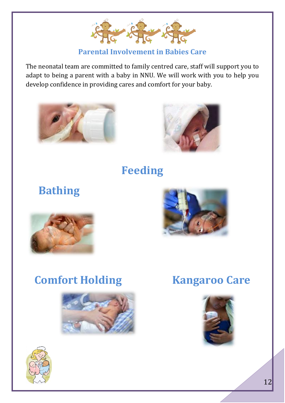

#### **Parental Involvement in Babies Care**

The neonatal team are committed to family centred care, staff will support you to adapt to being a parent with a baby in NNU. We will work with you to help you develop confidence in providing cares and comfort for your baby.





**Feeding**

 **Bathing**





# **Comfort Holding Kangaroo Care**





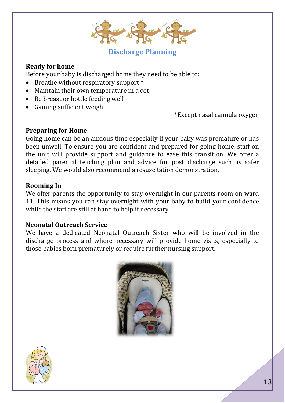

#### **Discharge Planning**

#### **Ready for home**

Before your baby is discharged home they need to be able to:

- Breathe without respiratory support \*
- Maintain their own temperature in a cot
- Be breast or bottle feeding well
- Gaining sufficient weight

\*Except nasal cannula oxygen

#### **Preparing for Home**

Going home can be an anxious time especially if your baby was premature or has been unwell. To ensure you are confident and prepared for going home, staff on the unit will provide support and guidance to ease this transition. We offer a detailed parental teaching plan and advice for post discharge such as safer sleeping. We would also recommend a resuscitation demonstration.

#### **Rooming In**

We offer parents the opportunity to stay overnight in our parents room on ward 11. This means you can stay overnight with your baby to build your confidence while the staff are still at hand to help if necessary.

#### **Neonatal Outreach Service**

We have a dedicated Neonatal Outreach Sister who will be involved in the discharge process and where necessary will provide home visits, especially to those babies born prematurely or require further nursing support.



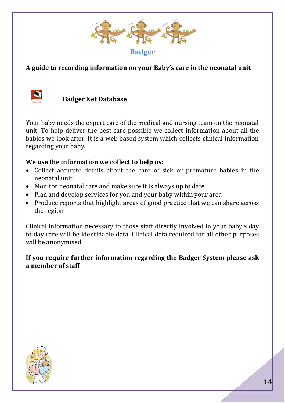

#### **A guide to recording information on your Baby's care in the neonatal unit**



 **Badger Net Database**

Your baby needs the expert care of the medical and nursing team on the neonatal unit. To help deliver the best care possible we collect information about all the babies we look after. It is a web based system which collects clinical information regarding your baby.

#### **We use the information we collect to help us:**

- Collect accurate details about the care of sick or premature babies in the neonatal unit
- Monitor neonatal care and make sure it is always up to date
- Plan and develop services for you and your baby within your area
- Produce reports that highlight areas of good practice that we can share across the region

Clinical information necessary to those staff directly involved in your baby's day to day care will be identifiable data. Clinical data required for all other purposes will be anonymised.

#### **If you require further information regarding the Badger System please ask a member of staff**

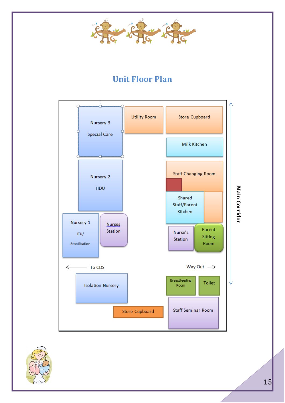

# **Unit Floor Plan**